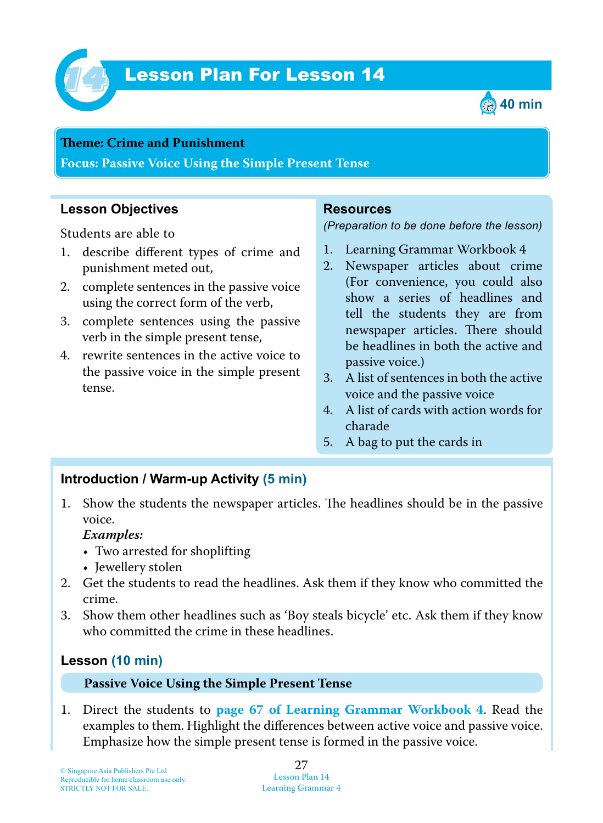

# Lesson Plan For Lesson 14 *14*



#### **Theme: Crime and Punishment**

**Focus: Passive Voice Using the Simple Present Tense**

## **Lesson Objectives**

Students are able to

- 1. describe different types of crime and punishment meted out,
- 2. complete sentences in the passive voice using the correct form of the verb,
- 3. complete sentences using the passive verb in the simple present tense,
- 4. rewrite sentences in the active voice to the passive voice in the simple present tense.

#### **Resources**

*(Preparation to be done before the lesson)*

- 1. Learning Grammar Workbook 4
- 2. Newspaper articles about crime (For convenience, you could also show a series of headlines and tell the students they are from newspaper articles. There should be headlines in both the active and passive voice.)
- 3. A list of sentences in both the active voice and the passive voice
- 4. A list of cards with action words for charade
- 5. A bag to put the cards in

#### **Introduction / Warm-up Activity (5 min)**

1. Show the students the newspaper articles. The headlines should be in the passive voice.

#### *Examples:*

- Two arrested for shoplifting
- Jewellery stolen
- 2. Get the students to read the headlines. Ask them if they know who committed the crime.
- 3. Show them other headlines such as 'Boy steals bicycle' etc. Ask them if they know who committed the crime in these headlines.

## **Lesson (10 min)**

#### **Passive Voice Using the Simple Present Tense**

1. Direct the students to **page 67 of Learning Grammar Workbook 4**. Read the examples to them. Highlight the differences between active voice and passive voice. Emphasize how the simple present tense is formed in the passive voice.